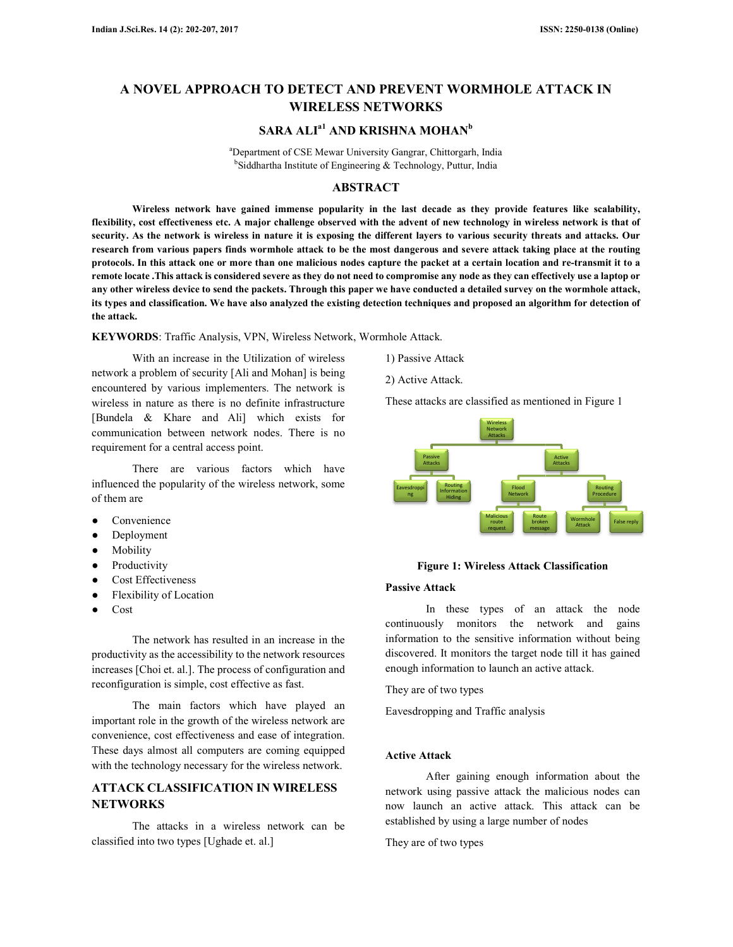# A NOVEL APPROACH TO DETECT AND PREVENT WORMHOLE ATTACK IN **AND WIRELESS NETWORKS**

# $\mathbf{SARA} \mathbf{ALI}^\mathrm{a1}$  and  $\mathbf{KRISHNA} \mathbf{MOHAN}^\mathrm{b}$

<sup>a</sup>Department of CSE Mewar University Gangrar, Chittorgarh, India <sup>b</sup>Siddhartha Institute of Engineering & Technology, Puttur, India

# **ABSTRACT**

**Wireless network have gained immense popularity in the last decade as they provide features like scalability,**  Wireless network have gained immense popularity in the last decade as they provide features like scalability,<br>flexibility, cost effectiveness etc. A major challenge observed with the advent of new technology in wireless ne security. As the network is wireless in nature it is exposing the different layers to various security threats and attacks research from various papers finds wormhole attack to be the most dangerous and severe attack taking place at the routing research from various papers finds wormhole attack to be the most dangerous and severe attack taking place at the routing<br>protocols. In this attack one or more than one malicious nodes capture the packet at a certain locat **remote locate .This attack is considered severe as they do not need to compromise any no node as they can effectively use a laptop or any other wireless device to send the packets. Through this paper we have conducted a detailed survey on the wormhole attack,**  its types and classification. We have also analyzed the existing detection techniques and proposed an algorithm for detection of **the attack.**  as they do not need to compromise any node as they can effectively use a Through this paper we have conducted a detailed survey on the wormho<br>yzed the existing detection techniques and proposed an algorithm for de

KEYWORDS: Traffic Analysis, VPN, Wireless Network, Wormhole Attack.

With an increase in the Utilization of wireless With an increase in the Utilization of wireless<br>network a problem of security [Ali and Mohan] is being encountered by various implementers. The network is wireless in nature as there is no definite infrastructure [Bundela & Khare and Ali] which exists for communication between network nodes. There is no requirement for a central access point. by various implementers. The network is<br>ature as there is no definite infrastructure<br>[Consequent Schare and Ali] which exists for<br>on between network nodes. There is no<br>ior a central access point.<br>The are various factors wh Figure 1: That in Mohanj is being the Universe Surface and Mohanj Is being the members of the wireless of the wireless retwork is<br>the method of the wireless retwork is<br>network nodes. There is no<br>necess point.<br>The metwork n

There are various factors which have influenced the popularity of the wireless network, some of them are

- Convenience
- Deployment
- Mobility
- Productivity
- Cost Effectiveness
- Flexibility of Location
- Cost

The network has resulted in an increase in the productivity as the accessibility to the network resources increases [Choi et. al.]. The process of configuration and reconfiguration is simple, cost effective as fast.

The main factors which have played an important role in the growth of the wireless network are convenience, cost effectiveness and ease of integration. These days almost all computers are coming equipped with the technology necessary for the wireless network.

# **ATTACK CLASSIFICATION IN WIRELESS NETWORKS**

The attacks in a wireless network can be classified into two types [Ughade et. al.]

- 
- 2) Active Attack.

These attacks are classified as mentioned in Figure 1



#### **Figure 1: Wireless Attack Classification**

## **Passive Attack**

In these types of an attack the node continuously monitors the network and gains information to the sensitive information without being discovered. It monitors the target node till it has gained enough information to launch an active attack.

They are of two types

Eavesdropping and Traffic analysis

# **Active Attack**

After gaining enough information about the network using passive attack the malicious nodes can now launch an active attack. This attack can b established by using a large number of nodes information to the sensitive information without being<br>discovered. It monitors the target node till it has gained<br>enough information to launch an active attack.<br>They are of two types<br>Eavesdropping and Traffic analysis<br>**Act** 

They are of two types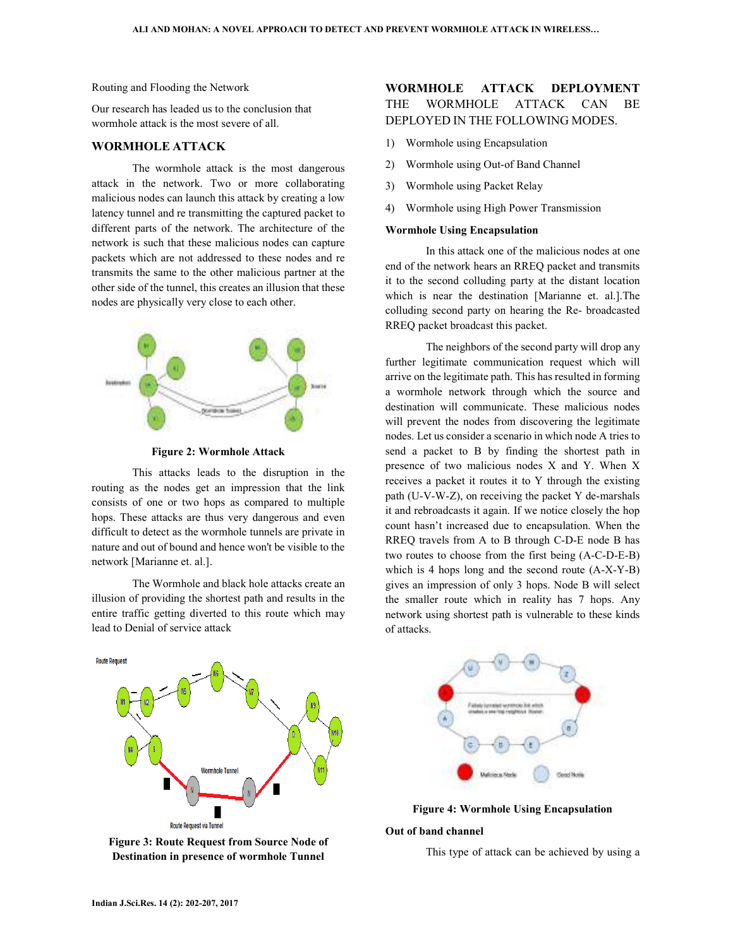Routing and Flooding the Network

Our research has leaded us to the conclusion that wormhole attack is the most severe of all.

# **WORMHOLE ATTACK**

The wormhole attack is the most dangerous attack in the network. Two or more collaborating malicious nodes can launch this attack by creating a low latency tunnel and re transmitting the captured packet to different parts of the network. The architecture of the network is such that these malicious nodes can capture packets which are not addressed to these nodes and re transmits the same to the other malicious partner at the other side of the tunnel, this creates an illusion that these nodes are physically very close to each other.



**Figure 2: Wormhole Attack** 

This attacks leads to the disruption in the routing as the nodes get an impression that the link consists of one or two hops as compared to multiple hops. These attacks are thus very dangerous and even difficult to detect as the wormhole tunnels are private in nature and out of bound and hence won't be visible to the network [Marianne et. al.].

The Wormhole and black hole attacks create an illusion of providing the shortest path and results in the entire traffic getting diverted to this route which may lead to Denial of service attack



**Figure 3: Route Request from Source Node of Destination in presence of wormhole Tunnel** 

# **WORMHOLE ATTACK DEPLOYMENT** THE WORMHOLE ATTACK CAN BE DEPLOYED IN THE FOLLOWING MODES.

- 1) Wormhole using Encapsulation
- 2) Wormhole using Out-of Band Channel
- 3) Wormhole using Packet Relay
- 4) Wormhole using High Power Transmission

## **Wormhole Using Encapsulation**

In this attack one of the malicious nodes at one end of the network hears an RREQ packet and transmits it to the second colluding party at the distant location which is near the destination [Marianne et. al.].The colluding second party on hearing the Re- broadcasted RREQ packet broadcast this packet.

The neighbors of the second party will drop any further legitimate communication request which will arrive on the legitimate path. This has resulted in forming a wormhole network through which the source and destination will communicate. These malicious nodes will prevent the nodes from discovering the legitimate nodes. Let us consider a scenario in which node A tries to send a packet to B by finding the shortest path in presence of two malicious nodes X and Y. When X receives a packet it routes it to Y through the existing path (U-V-W-Z), on receiving the packet Y de-marshals it and rebroadcasts it again. If we notice closely the hop count hasn't increased due to encapsulation. When the RREQ travels from A to B through C-D-E node B has two routes to choose from the first being (A-C-D-E-B) which is 4 hops long and the second route (A-X-Y-B) gives an impression of only 3 hops. Node B will select the smaller route which in reality has 7 hops. Any network using shortest path is vulnerable to these kinds of attacks.



**Figure 4: Wormhole Using Encapsulation** 

#### **Out of band channel**

This type of attack can be achieved by using a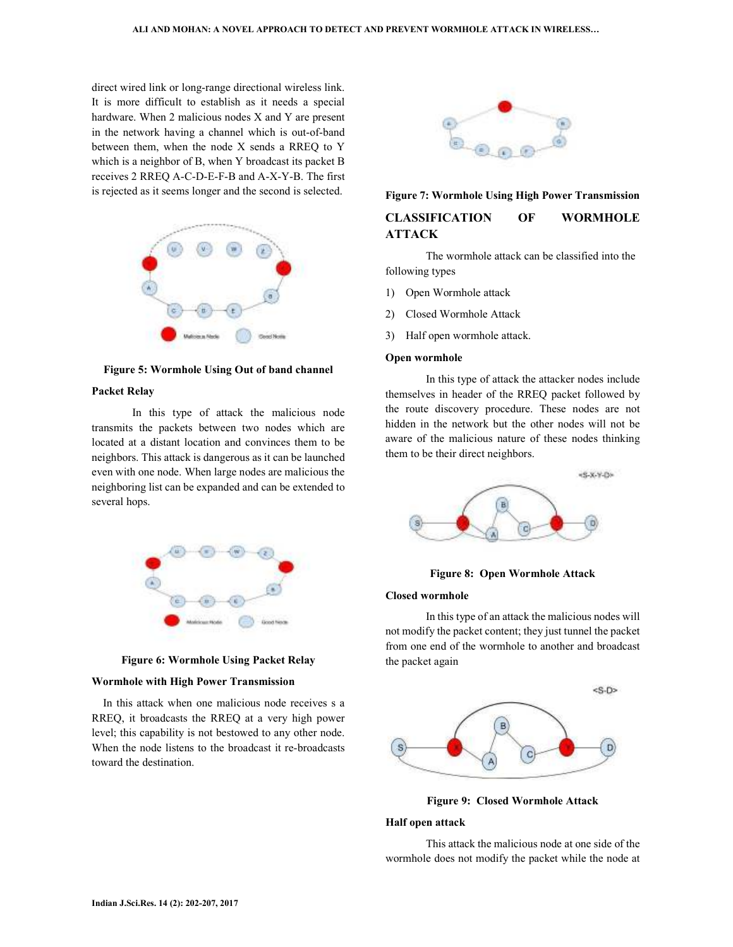direct wired link or long-range directional wireless link. It is more difficult to establish as it needs a special hardware. When 2 malicious nodes X and Y are present in the network having a channel which is out-of-band between them, when the node X sends a RREQ to Y which is a neighbor of B, when Y broadcast its packet B receives 2 RREQ A-C-D-E-F-B and A-X-Y-B. The first is rejected as it seems longer and the second is selected.



**Figure 5: Wormhole Using Out of band channel** 

# **Packet Relay**

In this type of attack the malicious node transmits the packets between two nodes which are located at a distant location and convinces them to be neighbors. This attack is dangerous as it can be launched even with one node. When large nodes are malicious the neighboring list can be expanded and can be extended to several hops.





#### **Wormhole with High Power Transmission**

 In this attack when one malicious node receives s a RREQ, it broadcasts the RREQ at a very high power level; this capability is not bestowed to any other node. When the node listens to the broadcast it re-broadcasts toward the destination.



# **Figure 7: Wormhole Using High Power Transmission CLASSIFICATION OF WORMHOLE ATTACK**

The wormhole attack can be classified into the following types

- 1) Open Wormhole attack
- 2) Closed Wormhole Attack
- 3) Half open wormhole attack.

## **Open wormhole**

In this type of attack the attacker nodes include themselves in header of the RREQ packet followed by the route discovery procedure. These nodes are not hidden in the network but the other nodes will not be aware of the malicious nature of these nodes thinking them to be their direct neighbors.



**Figure 8: Open Wormhole Attack** 

#### **Closed wormhole**

In this type of an attack the malicious nodes will not modify the packet content; they just tunnel the packet from one end of the wormhole to another and broadcast the packet again



**Figure 9: Closed Wormhole Attack** 

#### **Half open attack**

This attack the malicious node at one side of the wormhole does not modify the packet while the node at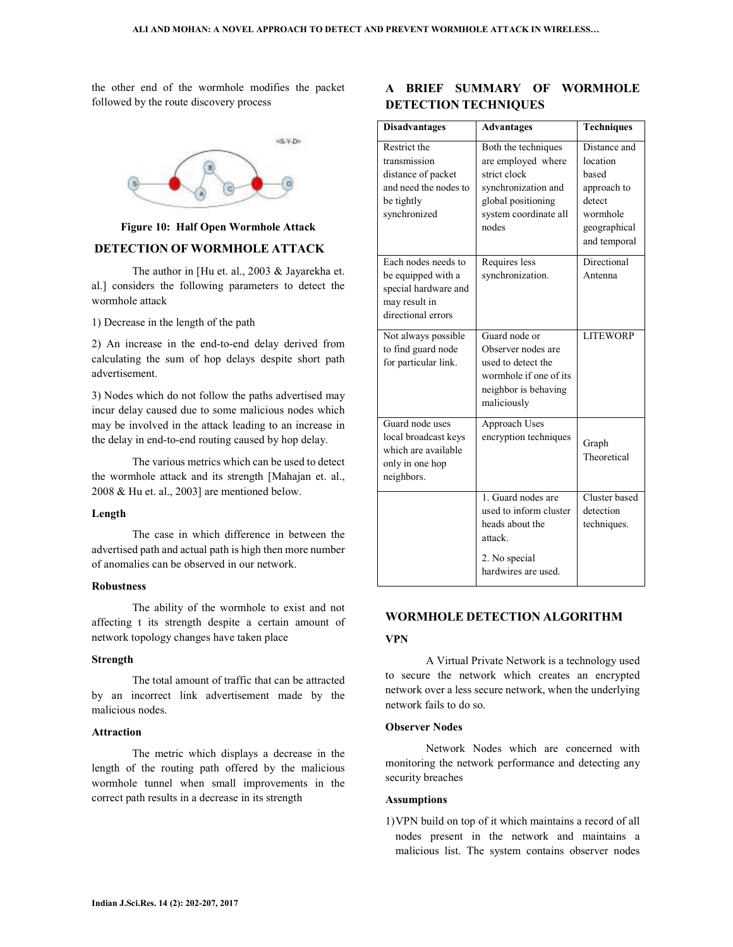the other end of the wormhole modifies the packet followed by the route discovery process



# **Figure 10: Half Open Wormhole Attack**

# **DETECTION OF WORMHOLE ATTACK**

The author in [Hu et. al., 2003 & Jayarekha et. al.] considers the following parameters to detect the wormhole attack

1) Decrease in the length of the path

2) An increase in the end-to-end delay derived from calculating the sum of hop delays despite short path advertisement.

3) Nodes which do not follow the paths advertised may incur delay caused due to some malicious nodes which may be involved in the attack leading to an increase in the delay in end-to-end routing caused by hop delay.

The various metrics which can be used to detect the wormhole attack and its strength [Mahajan et. al., 2008 & Hu et. al., 2003] are mentioned below.

# **Length**

The case in which difference in between the advertised path and actual path is high then more number of anomalies can be observed in our network.

## **Robustness**

The ability of the wormhole to exist and not affecting t its strength despite a certain amount of network topology changes have taken place

# **Strength**

The total amount of traffic that can be attracted by an incorrect link advertisement made by the malicious nodes.

# **Attraction**

The metric which displays a decrease in the length of the routing path offered by the malicious wormhole tunnel when small improvements in the correct path results in a decrease in its strength

# **A BRIEF SUMMARY OF WORMHOLE DETECTION TECHNIQUES**

| <b>Disadvantages</b>                                                                                      | <b>Advantages</b>                                                                                                                        | <b>Techniques</b>                                                                                      |
|-----------------------------------------------------------------------------------------------------------|------------------------------------------------------------------------------------------------------------------------------------------|--------------------------------------------------------------------------------------------------------|
| Restrict the<br>transmission<br>distance of packet<br>and need the nodes to<br>be tightly<br>synchronized | Both the techniques<br>are employed where<br>strict clock<br>synchronization and<br>global positioning<br>system coordinate all<br>nodes | Distance and<br>location<br>based<br>approach to<br>detect<br>wormhole<br>geographical<br>and temporal |
| Each nodes needs to<br>be equipped with a<br>special hardware and<br>may result in<br>directional errors  | Requires less<br>synchronization.                                                                                                        | Directional<br>Antenna                                                                                 |
| Not always possible<br>to find guard node<br>for particular link.                                         | Guard node or<br>Observer nodes are<br>used to detect the<br>wormhole if one of its<br>neighbor is behaving<br>maliciously               | <b>LITEWORP</b>                                                                                        |
| Guard node uses<br>local broadcast keys<br>which are available<br>only in one hop<br>neighbors.           | Approach Uses<br>encryption techniques                                                                                                   | Graph<br>Theoretical                                                                                   |
|                                                                                                           | 1. Guard nodes are<br>used to inform cluster<br>heads about the<br>attack.                                                               | Cluster based<br>detection<br>techniques.                                                              |
|                                                                                                           | 2. No special<br>hardwires are used.                                                                                                     |                                                                                                        |

# **WORMHOLE DETECTION ALGORITHM**

# **VPN**

A Virtual Private Network is a technology used to secure the network which creates an encrypted network over a less secure network, when the underlying network fails to do so.

## **Observer Nodes**

Network Nodes which are concerned with monitoring the network performance and detecting any security breaches

#### **Assumptions**

1)VPN build on top of it which maintains a record of all nodes present in the network and maintains a malicious list. The system contains observer nodes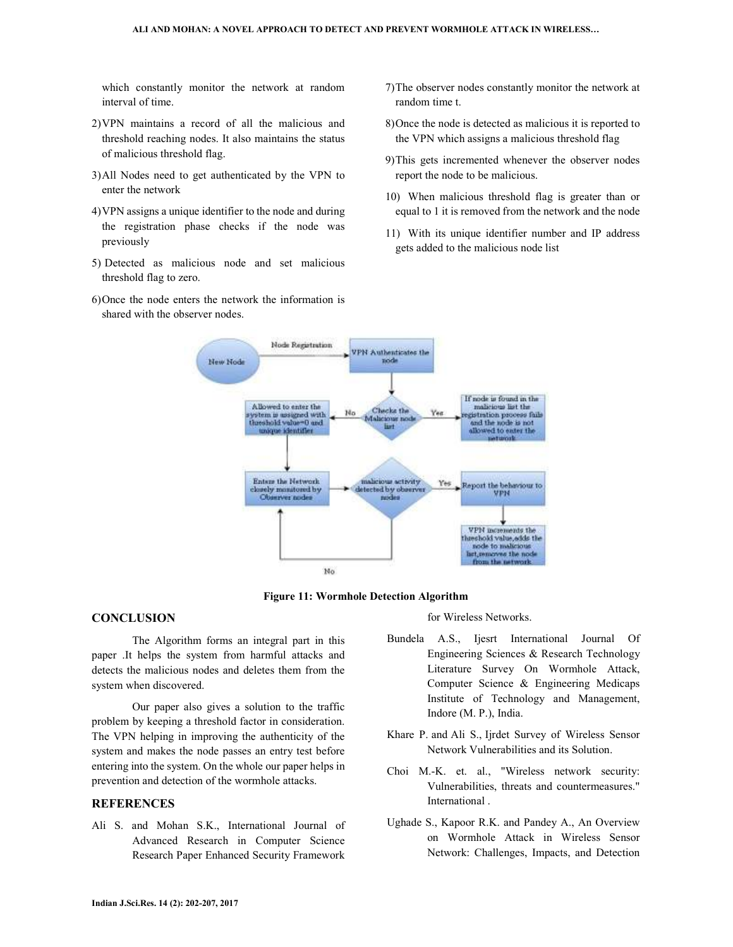which constantly monitor the network at random interval of time.

- 2)VPN maintains a record of all the malicious and threshold reaching nodes. It also maintains the status of malicious threshold flag.
- 3)All Nodes need to get authenticated by the VPN to enter the network
- 4)VPN assigns a unique identifier to the node and during the registration phase checks if the node was previously
- 5) Detected as malicious node and set malicious threshold flag to zero.
- 6)Once the node enters the network the information is shared with the observer nodes.
- 7)The observer nodes constantly monitor the network at random time t.
- 8)Once the node is detected as malicious it is reported to the VPN which assigns a malicious threshold flag
- 9)This gets incremented whenever the observer nodes report the node to be malicious.
- 10) When malicious threshold flag is greater than or equal to 1 it is removed from the network and the node
- 11) With its unique identifier number and IP address gets added to the malicious node list



**Figure 11: Wormhole Detection Algorithm** 

# **CONCLUSION**

The Algorithm forms an integral part in this paper .It helps the system from harmful attacks and detects the malicious nodes and deletes them from the system when discovered.

Our paper also gives a solution to the traffic problem by keeping a threshold factor in consideration. The VPN helping in improving the authenticity of the system and makes the node passes an entry test before entering into the system. On the whole our paper helps in prevention and detection of the wormhole attacks.

# **REFERENCES**

Ali S. and Mohan S.K., International Journal of Advanced Research in Computer Science Research Paper Enhanced Security Framework

for Wireless Networks.

- Bundela A.S., Ijesrt International Journal Of Engineering Sciences & Research Technology Literature Survey On Wormhole Attack, Computer Science & Engineering Medicaps Institute of Technology and Management, Indore (M. P.), India.
- Khare P. and Ali S., Ijrdet Survey of Wireless Sensor Network Vulnerabilities and its Solution.
- Choi M.-K. et. al., "Wireless network security: Vulnerabilities, threats and countermeasures." International .
- Ughade S., Kapoor R.K. and Pandey A., An Overview on Wormhole Attack in Wireless Sensor Network: Challenges, Impacts, and Detection